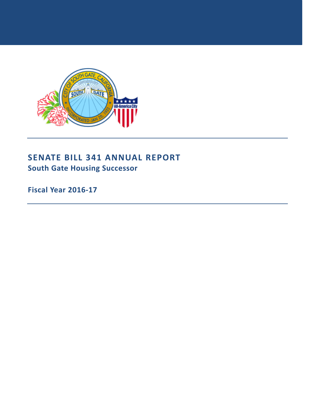

# **SENATE BILL 341 ANNUAL REPORT South Gate Housing Successor**

**Fiscal Year 2016-17**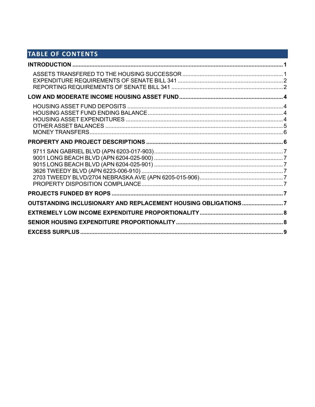# TABLE OF CONTENTS

| OUTSTANDING INCLUSIONARY AND REPLACEMENT HOUSING OBLIGATIONS 7 |  |
|----------------------------------------------------------------|--|
|                                                                |  |
|                                                                |  |
|                                                                |  |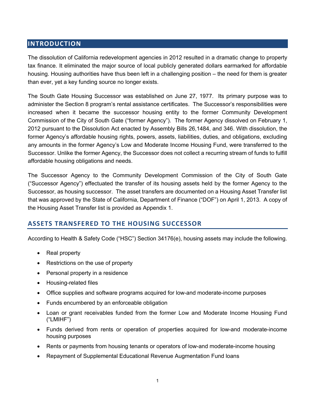# **INTRODUCTION**

The dissolution of California redevelopment agencies in 2012 resulted in a dramatic change to property tax finance. It eliminated the major source of local publicly generated dollars earmarked for affordable housing. Housing authorities have thus been left in a challenging position – the need for them is greater than ever, yet a key funding source no longer exists.

The South Gate Housing Successor was established on June 27, 1977. Its primary purpose was to administer the Section 8 program's rental assistance certificates. The Successor's responsibilities were increased when it became the successor housing entity to the former Community Development Commission of the City of South Gate ("former Agency"). The former Agency dissolved on February 1, 2012 pursuant to the Dissolution Act enacted by Assembly Bills 26,1484, and 346. With dissolution, the former Agency's affordable housing rights, powers, assets, liabilities, duties, and obligations, excluding any amounts in the former Agency's Low and Moderate Income Housing Fund, were transferred to the Successor. Unlike the former Agency, the Successor does not collect a recurring stream of funds to fulfill affordable housing obligations and needs.

The Successor Agency to the Community Development Commission of the City of South Gate ("Successor Agency") effectuated the transfer of its housing assets held by the former Agency to the Successor, as housing successor. The asset transfers are documented on a Housing Asset Transfer list that was approved by the State of California, Department of Finance ("DOF") on April 1, 2013. A copy of the Housing Asset Transfer list is provided as Appendix 1.

# **ASSETS TRANSFERED TO THE HOUSING SUCCESSOR**

According to Health & Safety Code ("HSC") Section 34176(e), housing assets may include the following.

- Real property
- Restrictions on the use of property
- Personal property in a residence
- Housing-related files
- Office supplies and software programs acquired for low-and moderate-income purposes
- Funds encumbered by an enforceable obligation
- Loan or grant receivables funded from the former Low and Moderate Income Housing Fund ("LMIHF")
- Funds derived from rents or operation of properties acquired for low-and moderate-income housing purposes
- Rents or payments from housing tenants or operators of low-and moderate-income housing
- Repayment of Supplemental Educational Revenue Augmentation Fund loans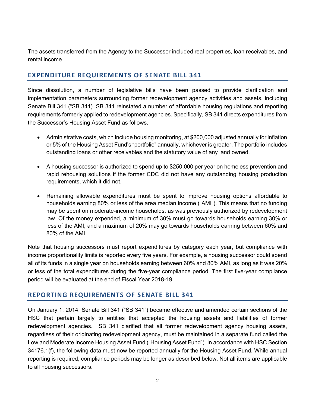The assets transferred from the Agency to the Successor included real properties, loan receivables, and rental income.

### **EXPENDITURE REQUIREMENTS OF SENATE BILL 341**

Since dissolution, a number of legislative bills have been passed to provide clarification and implementation parameters surrounding former redevelopment agency activities and assets, including Senate Bill 341 ("SB 341). SB 341 reinstated a number of affordable housing regulations and reporting requirements formerly applied to redevelopment agencies. Specifically, SB 341 directs expenditures from the Successor's Housing Asset Fund as follows.

- Administrative costs, which include housing monitoring, at \$200,000 adjusted annually for inflation or 5% of the Housing Asset Fund's "portfolio" annually, whichever is greater. The portfolio includes outstanding loans or other receivables and the statutory value of any land owned.
- A housing successor is authorized to spend up to \$250,000 per year on homeless prevention and rapid rehousing solutions if the former CDC did not have any outstanding housing production requirements, which it did not.
- Remaining allowable expenditures must be spent to improve housing options affordable to households earning 80% or less of the area median income ("AMI"). This means that no funding may be spent on moderate-income households, as was previously authorized by redevelopment law. Of the money expended, a minimum of 30% must go towards households earning 30% or less of the AMI, and a maximum of 20% may go towards households earning between 60% and 80% of the AMI.

Note that housing successors must report expenditures by category each year, but compliance with income proportionality limits is reported every five years. For example, a housing successor could spend all of its funds in a single year on households earning between 60% and 80% AMI, as long as it was 20% or less of the total expenditures during the five-year compliance period. The first five-year compliance period will be evaluated at the end of Fiscal Year 2018-19.

### **REPORTING REQUIREMENTS OF SENATE BILL 341**

On January 1, 2014, Senate Bill 341 ("SB 341") became effective and amended certain sections of the HSC that pertain largely to entities that accepted the housing assets and liabilities of former redevelopment agencies. SB 341 clarified that all former redevelopment agency housing assets, regardless of their originating redevelopment agency, must be maintained in a separate fund called the Low and Moderate Income Housing Asset Fund ("Housing Asset Fund"). In accordance with HSC Section 34176.1(f), the following data must now be reported annually for the Housing Asset Fund. While annual reporting is required, compliance periods may be longer as described below. Not all items are applicable to all housing successors.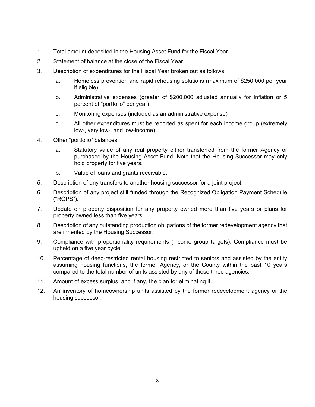- 1. Total amount deposited in the Housing Asset Fund for the Fiscal Year.
- 2. Statement of balance at the close of the Fiscal Year.
- 3. Description of expenditures for the Fiscal Year broken out as follows:
	- a. Homeless prevention and rapid rehousing solutions (maximum of \$250,000 per year if eligible)
	- b. Administrative expenses (greater of \$200,000 adjusted annually for inflation or 5 percent of "portfolio" per year)
	- c. Monitoring expenses (included as an administrative expense)
	- d. All other expenditures must be reported as spent for each income group (extremely low-, very low-, and low-income)
- 4. Other "portfolio" balances
	- a. Statutory value of any real property either transferred from the former Agency or purchased by the Housing Asset Fund. Note that the Housing Successor may only hold property for five years.
	- b. Value of loans and grants receivable.
- 5. Description of any transfers to another housing successor for a joint project.
- 6. Description of any project still funded through the Recognized Obligation Payment Schedule ("ROPS").
- 7. Update on property disposition for any property owned more than five years or plans for property owned less than five years.
- 8. Description of any outstanding production obligations of the former redevelopment agency that are inherited by the Housing Successor.
- 9. Compliance with proportionality requirements (income group targets). Compliance must be upheld on a five year cycle.
- 10. Percentage of deed-restricted rental housing restricted to seniors and assisted by the entity assuming housing functions, the former Agency, or the County within the past 10 years compared to the total number of units assisted by any of those three agencies.
- 11. Amount of excess surplus, and if any, the plan for eliminating it.
- 12. An inventory of homeownership units assisted by the former redevelopment agency or the housing successor.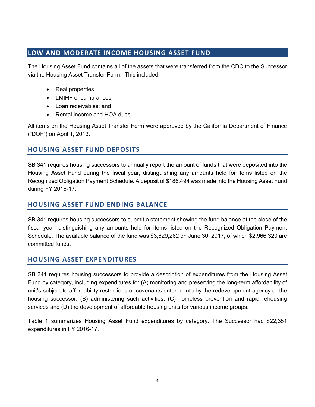### **LOW AND MODERATE INCOME HOUSING ASSET FUND**

The Housing Asset Fund contains all of the assets that were transferred from the CDC to the Successor via the Housing Asset Transfer Form. This included:

- Real properties;
- LMIHF encumbrances;
- Loan receivables; and
- Rental income and HOA dues.

All items on the Housing Asset Transfer Form were approved by the California Department of Finance ("DOF") on April 1, 2013.

# **HOUSING ASSET FUND DEPOSITS**

SB 341 requires housing successors to annually report the amount of funds that were deposited into the Housing Asset Fund during the fiscal year, distinguishing any amounts held for items listed on the Recognized Obligation Payment Schedule. A deposit of \$186,494 was made into the Housing Asset Fund during FY 2016-17.

## **HOUSING ASSET FUND ENDING BALANCE**

SB 341 requires housing successors to submit a statement showing the fund balance at the close of the fiscal year, distinguishing any amounts held for items listed on the Recognized Obligation Payment Schedule. The available balance of the fund was \$3,629,262 on June 30, 2017, of which \$2,966,320 are committed funds.

# **HOUSING ASSET EXPENDITURES**

SB 341 requires housing successors to provide a description of expenditures from the Housing Asset Fund by category, including expenditures for (A) monitoring and preserving the long-term affordability of unit's subject to affordability restrictions or covenants entered into by the redevelopment agency or the housing successor, (B) administering such activities, (C) homeless prevention and rapid rehousing services and (D) the development of affordable housing units for various income groups.

Table 1 summarizes Housing Asset Fund expenditures by category. The Successor had \$22,351 expenditures in FY 2016-17.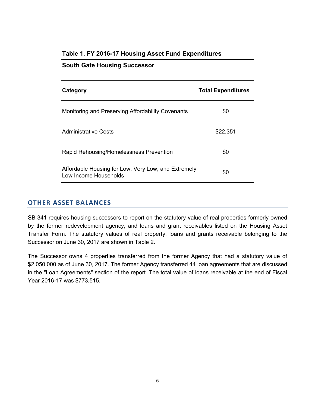| Category                                                                     | <b>Total Expenditures</b> |
|------------------------------------------------------------------------------|---------------------------|
| Monitoring and Preserving Affordability Covenants                            | \$0                       |
| Administrative Costs                                                         | \$22,351                  |
| Rapid Rehousing/Homelessness Prevention                                      | \$0                       |
| Affordable Housing for Low, Very Low, and Extremely<br>Low Income Households | \$0                       |

### **Table 1. FY 2016-17 Housing Asset Fund Expenditures**

**South Gate Housing Successor**

### **OTHER ASSET BALANCES**

SB 341 requires housing successors to report on the statutory value of real properties formerly owned by the former redevelopment agency, and loans and grant receivables listed on the Housing Asset Transfer Form. The statutory values of real property, loans and grants receivable belonging to the Successor on June 30, 2017 are shown in Table 2.

The Successor owns 4 properties transferred from the former Agency that had a statutory value of \$2,050,000 as of June 30, 2017. The former Agency transferred 44 loan agreements that are discussed in the "Loan Agreements" section of the report. The total value of loans receivable at the end of Fiscal Year 2016-17 was \$773,515.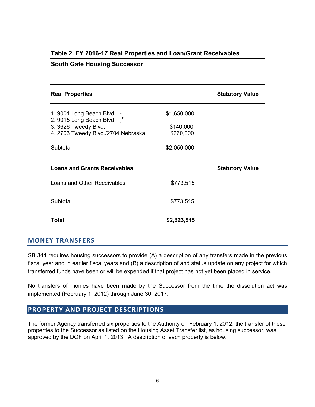| <b>Real Properties</b>                              |             | <b>Statutory Value</b> |
|-----------------------------------------------------|-------------|------------------------|
| 1. 9001 Long Beach Blvd.<br>2. 9015 Long Beach Blvd | \$1,650,000 |                        |
| 3. 3626 Tweedy Blvd.                                | \$140,000   |                        |
| 4. 2703 Tweedy Blvd./2704 Nebraska                  | \$260,000   |                        |
| Subtotal                                            | \$2,050,000 |                        |
| <b>Loans and Grants Receivables</b>                 |             | <b>Statutory Value</b> |
| Loans and Other Receivables                         | \$773,515   |                        |
| Subtotal                                            | \$773,515   |                        |
| Total                                               | \$2,823,515 |                        |

### **Table 2. FY 2016-17 Real Properties and Loan/Grant Receivables**

### **South Gate Housing Successor**

#### **MONEY TRANSFERS**

SB 341 requires housing successors to provide (A) a description of any transfers made in the previous fiscal year and in earlier fiscal years and (B) a description of and status update on any project for which transferred funds have been or will be expended if that project has not yet been placed in service.

No transfers of monies have been made by the Successor from the time the dissolution act was implemented (February 1, 2012) through June 30, 2017.

### **PROPERTY AND PROJECT DESCRIPTIONS**

The former Agency transferred six properties to the Authority on February 1, 2012; the transfer of these properties to the Successor as listed on the Housing Asset Transfer list, as housing successor, was approved by the DOF on April 1, 2013. A description of each property is below.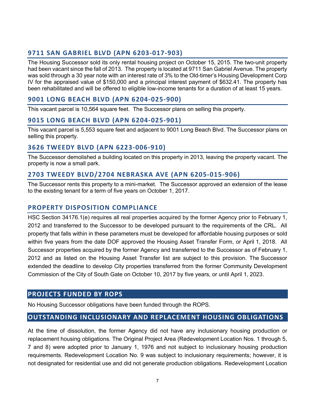# **9711 SAN GABRIEL BLVD (APN 6203-017-903)**

The Housing Successor sold its only rental housing project on October 15, 2015. The two-unit property had been vacant since the fall of 2013. The property is located at 9711 San Gabriel Avenue. The property was sold through a 30 year note with an interest rate of 3% to the Old-timer's Housing Development Corp IV for the appraised value of \$150,000 and a principal interest payment of \$632.41. The property has been rehabilitated and will be offered to eligible low-income tenants for a duration of at least 15 years.

### **9001 LONG BEACH BLVD (APN 6204-025-900)**

This vacant parcel is 10,564 square feet. The Successor plans on selling this property.

### **9015 LONG BEACH BLVD (APN 6204-025-901)**

This vacant parcel is 5,553 square feet and adjacent to 9001 Long Beach Blvd. The Successor plans on selling this property.

### **3626 TWEEDY BLVD (APN 6223-006-910)**

The Successor demolished a building located on this property in 2013, leaving the property vacant. The property is now a small park.

### **2703 TWEEDY BLVD/2704 NEBRASKA AVE (APN 6205-015-906)**

The Successor rents this property to a mini-market. The Successor approved an extension of the lease to the existing tenant for a term of five years on October 1, 2017.

### **PROPERTY DISPOSITION COMPLIANCE**

HSC Section 34176.1(e) requires all real properties acquired by the former Agency prior to February 1, 2012 and transferred to the Successor to be developed pursuant to the requirements of the CRL. All property that falls within in these parameters must be developed for affordable housing purposes or sold within five years from the date DOF approved the Housing Asset Transfer Form, or April 1, 2018. All Successor properties acquired by the former Agency and transferred to the Successor as of February 1, 2012 and as listed on the Housing Asset Transfer list are subject to this provision. The Successor extended the deadline to develop City properties transferred from the former Community Development Commission of the City of South Gate on October 10, 2017 by five years, or until April 1, 2023.

### **PROJECTS FUNDED BY ROPS**

No Housing Successor obligations have been funded through the ROPS.

### **OUTSTANDING INCLUSIONARY AND REPLACEMENT HOUSING OBLIGATIONS**

At the time of dissolution, the former Agency did not have any inclusionary housing production or replacement housing obligations. The Original Project Area (Redevelopment Location Nos. 1 through 5, 7 and 8) were adopted prior to January 1, 1976 and not subject to inclusionary housing production requirements. Redevelopment Location No. 9 was subject to inclusionary requirements; however, it is not designated for residential use and did not generate production obligations. Redevelopment Location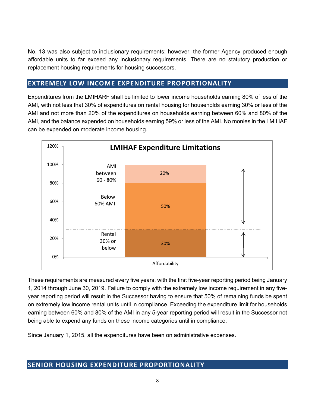No. 13 was also subject to inclusionary requirements; however, the former Agency produced enough affordable units to far exceed any inclusionary requirements. There are no statutory production or replacement housing requirements for housing successors.

## **EXTREMELY LOW INCOME EXPENDITURE PROPORTIONALITY**

Expenditures from the LMIHARF shall be limited to lower income households earning 80% of less of the AMI, with not less that 30% of expenditures on rental housing for households earning 30% or less of the AMI and not more than 20% of the expenditures on households earning between 60% and 80% of the AMI, and the balance expended on households earning 59% or less of the AMI. No monies in the LMIHAF can be expended on moderate income housing.



These requirements are measured every five years, with the first five-year reporting period being January 1, 2014 through June 30, 2019. Failure to comply with the extremely low income requirement in any fiveyear reporting period will result in the Successor having to ensure that 50% of remaining funds be spent on extremely low income rental units until in compliance. Exceeding the expenditure limit for households earning between 60% and 80% of the AMI in any 5-year reporting period will result in the Successor not being able to expend any funds on these income categories until in compliance.

Since January 1, 2015, all the expenditures have been on administrative expenses.

### **SENIOR HOUSING EXPENDITURE PROPORTIONALITY**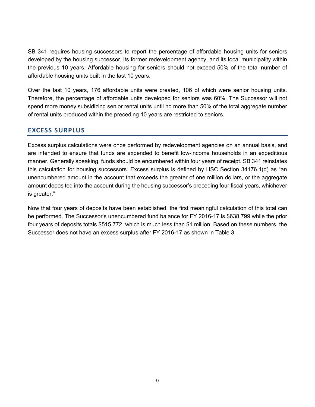SB 341 requires housing successors to report the percentage of affordable housing units for seniors developed by the housing successor, its former redevelopment agency, and its local municipality within the previous 10 years. Affordable housing for seniors should not exceed 50% of the total number of affordable housing units built in the last 10 years.

Over the last 10 years, 176 affordable units were created, 106 of which were senior housing units. Therefore, the percentage of affordable units developed for seniors was 60%. The Successor will not spend more money subsidizing senior rental units until no more than 50% of the total aggregate number of rental units produced within the preceding 10 years are restricted to seniors.

### **EXCESS SURPLUS**

Excess surplus calculations were once performed by redevelopment agencies on an annual basis, and are intended to ensure that funds are expended to benefit low-income households in an expeditious manner. Generally speaking, funds should be encumbered within four years of receipt. SB 341 reinstates this calculation for housing successors. Excess surplus is defined by HSC Section 34176.1(d) as "an unencumbered amount in the account that exceeds the greater of one million dollars, or the aggregate amount deposited into the account during the housing successor's preceding four fiscal years, whichever is greater."

Now that four years of deposits have been established, the first meaningful calculation of this total can be performed. The Successor's unencumbered fund balance for FY 2016-17 is \$638,799 while the prior four years of deposits totals \$515,772, which is much less than \$1 million. Based on these numbers, the Successor does not have an excess surplus after FY 2016-17 as shown in Table 3.